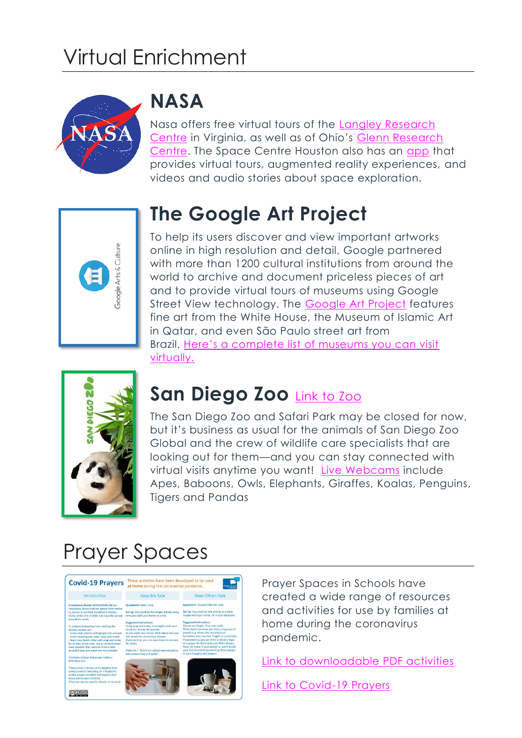# Virtual Enrichment



#### **NASA**

Nasa offers free virtual tours of the [Langley Research](https://oh.larc.nasa.gov/oh/)  [Centre](https://oh.larc.nasa.gov/oh/) in Virginia, as well as of Ohio's [Glenn Research](https://www.nasa.gov/glennvirtualtours)  [Centre.](https://www.nasa.gov/glennvirtualtours) The Space Centre Houston also has an [app](https://spacecenter.org/news-center/news-releases/space-center-houstons-new-app-offers-an-enhanced-visitor-experience/) that provides virtual tours, augmented reality experiences, and videos and audio stories about space exploration.



#### **The Google Art Project**

To help its users discover and view important artworks online in high resolution and detail, Google partnered with more than 1200 cultural institutions from around the world to archive and document priceless pieces of art and to provide virtual tours of museums using Google Street View technology. The [Google Art Project](https://artsandculture.google.com/) features fine art from the White House, the Museum of Islamic Art in Qatar, and even São Paulo street art from Brazil. Here's [a complete list of museums you can visit](https://artsandculture.google.com/partner)  [virtually.](https://artsandculture.google.com/partner)



#### **San Diego Zoo** [Link to Zoo](https://zoo.sandiegozoo.org/)

ान

The San Diego Zoo and Safari Park may be closed for now, but it's business as usual for the animals of San Diego Zoo Global and the crew of wildlife care specialists that are looking out for them—and you can stay connected with virtual visits anytime you want! [Live Webcams](https://zoo.sandiegozoo.org/were-here-together) include Apes, Baboons, Owls, Elephants, Giraffes, Koalas, Penguins, Tigers and Pandas

### Prayer Spaces



<u>@0ම@</u>



Prayer Spaces in Schools have created a wide range of resources and activities for use by families at home during the coronavirus pandemic.

[Link to downloadable PDF activities](https://www.prayerspacesinschools.com/prayer-spaces-at-home)

[Link to Covid-19 Prayers](http://www.venerablebede.co.uk/wp-content/uploads/2020/03/COVID_19_PRAYERS.pdf)